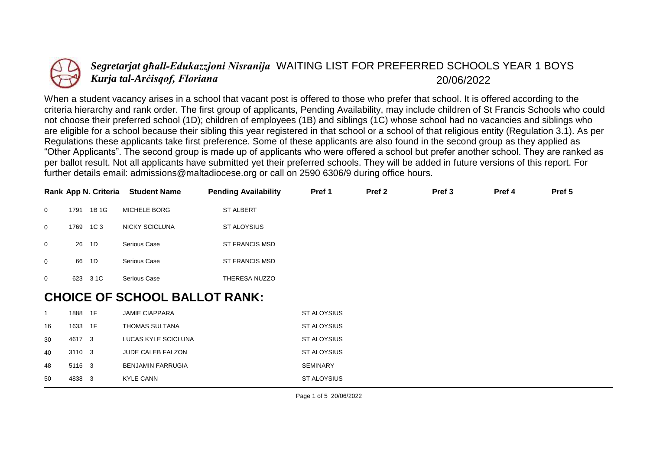

## *Segretarjat għall-Edukazzjoni Nisranija* WAITING LIST FOR PREFERRED SCHOOLS YEAR 1 BOYS *Kurja tal-Arċisqof, Floriana* 20/06/2022

When a student vacancy arises in a school that vacant post is offered to those who prefer that school. It is offered according to the criteria hierarchy and rank order. The first group of applicants, Pending Availability, may include children of St Francis Schools who could not choose their preferred school (1D); children of employees (1B) and siblings (1C) whose school had no vacancies and siblings who are eligible for a school because their sibling this year registered in that school or a school of that religious entity (Regulation 3.1). As per Regulations these applicants take first preference. Some of these applicants are also found in the second group as they applied as "Other Applicants". The second group is made up of applicants who were offered a school but prefer another school. They are ranked as per ballot result. Not all applicants have submitted yet their preferred schools. They will be added in future versions of this report. For further details email: admissions@maltadiocese.org or call on 2590 6306/9 during office hours.

|                |                                      | Rank App N. Criteria | <b>Student Name</b>   | <b>Pending Availability</b> | Pref 1 | Pref <sub>2</sub> | Pref <sub>3</sub> | Pref 4 | Pref 5 |
|----------------|--------------------------------------|----------------------|-----------------------|-----------------------------|--------|-------------------|-------------------|--------|--------|
| $\overline{0}$ | 1791                                 | 1B 1G                | MICHELE BORG          | <b>ST ALBERT</b>            |        |                   |                   |        |        |
| $\mathbf 0$    | 1769                                 | 1C 3                 | <b>NICKY SCICLUNA</b> | <b>ST ALOYSIUS</b>          |        |                   |                   |        |        |
| $\overline{0}$ | 26                                   | 1D                   | Serious Case          | <b>ST FRANCIS MSD</b>       |        |                   |                   |        |        |
| $\mathbf 0$    | 66                                   | 1D                   | Serious Case          | <b>ST FRANCIS MSD</b>       |        |                   |                   |        |        |
| $\overline{0}$ | 623                                  | 3 1 C                | Serious Case          | THERESA NUZZO               |        |                   |                   |        |        |
|                | <b>CHOICE OF SCHOOL BALLOT RANK:</b> |                      |                       |                             |        |                   |                   |        |        |

|    | 1888    | - 1F | <b>JAMIE CIAPPARA</b>    | ST ALOYSIUS        |
|----|---------|------|--------------------------|--------------------|
| 16 | 1633 1F |      | THOMAS SULTANA           | ST ALOYSIUS        |
| 30 | 4617 3  |      | LUCAS KYLE SCICLUNA      | ST ALOYSIUS        |
| 40 | 3110 3  |      | <b>JUDE CALEB FALZON</b> | ST ALOYSIUS        |
| 48 | 5116 3  |      | <b>BENJAMIN FARRUGIA</b> | <b>SEMINARY</b>    |
| 50 | 4838 3  |      | KYLE CANN                | <b>ST ALOYSIUS</b> |
|    |         |      |                          |                    |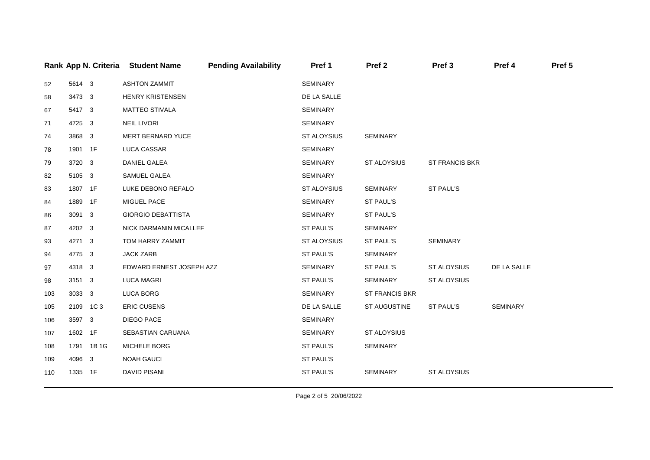|     |          | Rank App N. Criteria | <b>Student Name</b>       | <b>Pending Availability</b> | Pref 1             | Pref <sub>2</sub>  | Pref <sub>3</sub>     | Pref 4          | Pref 5 |
|-----|----------|----------------------|---------------------------|-----------------------------|--------------------|--------------------|-----------------------|-----------------|--------|
| 52  | 5614 3   |                      | <b>ASHTON ZAMMIT</b>      |                             | SEMINARY           |                    |                       |                 |        |
| 58  | 3473 3   |                      | <b>HENRY KRISTENSEN</b>   |                             | DE LA SALLE        |                    |                       |                 |        |
| 67  | 5417 3   |                      | <b>MATTEO STIVALA</b>     |                             | <b>SEMINARY</b>    |                    |                       |                 |        |
| 71  | 4725 3   |                      | <b>NEIL LIVORI</b>        |                             | SEMINARY           |                    |                       |                 |        |
| 74  | 3868 3   |                      | MERT BERNARD YUCE         |                             | <b>ST ALOYSIUS</b> | SEMINARY           |                       |                 |        |
| 78  | 1901 1F  |                      | LUCA CASSAR               |                             | <b>SEMINARY</b>    |                    |                       |                 |        |
| 79  | 3720 3   |                      | DANIEL GALEA              |                             | <b>SEMINARY</b>    | <b>ST ALOYSIUS</b> | <b>ST FRANCIS BKR</b> |                 |        |
| 82  | 5105 3   |                      | SAMUEL GALEA              |                             | SEMINARY           |                    |                       |                 |        |
| 83  | 1807 1F  |                      | LUKE DEBONO REFALO        |                             | <b>ST ALOYSIUS</b> | SEMINARY           | ST PAUL'S             |                 |        |
| 84  | 1889 1F  |                      | MIGUEL PACE               |                             | SEMINARY           | ST PAUL'S          |                       |                 |        |
| 86  | 3091 3   |                      | <b>GIORGIO DEBATTISTA</b> |                             | SEMINARY           | ST PAUL'S          |                       |                 |        |
| 87  | 4202 3   |                      | NICK DARMANIN MICALLEF    |                             | ST PAUL'S          | SEMINARY           |                       |                 |        |
| 93  | 4271 3   |                      | TOM HARRY ZAMMIT          |                             | <b>ST ALOYSIUS</b> | ST PAUL'S          | SEMINARY              |                 |        |
| 94  | 4775 3   |                      | <b>JACK ZARB</b>          |                             | ST PAUL'S          | <b>SEMINARY</b>    |                       |                 |        |
| 97  | 4318 3   |                      | EDWARD ERNEST JOSEPH AZZ  |                             | <b>SEMINARY</b>    | ST PAUL'S          | <b>ST ALOYSIUS</b>    | DE LA SALLE     |        |
| 98  | 3151 3   |                      | <b>LUCA MAGRI</b>         |                             | ST PAUL'S          | SEMINARY           | ST ALOYSIUS           |                 |        |
| 103 | 3033 3   |                      | LUCA BORG                 |                             | SEMINARY           | ST FRANCIS BKR     |                       |                 |        |
| 105 | 2109 1C3 |                      | <b>ERIC CUSENS</b>        |                             | DE LA SALLE        | ST AUGUSTINE       | ST PAUL'S             | <b>SEMINARY</b> |        |
| 106 | 3597 3   |                      | <b>DIEGO PACE</b>         |                             | <b>SEMINARY</b>    |                    |                       |                 |        |
| 107 | 1602 1F  |                      | SEBASTIAN CARUANA         |                             | SEMINARY           | ST ALOYSIUS        |                       |                 |        |
| 108 |          | 1791 1B 1G           | MICHELE BORG              |                             | ST PAUL'S          | <b>SEMINARY</b>    |                       |                 |        |
| 109 | 4096 3   |                      | <b>NOAH GAUCI</b>         |                             | ST PAUL'S          |                    |                       |                 |        |
| 110 | 1335 1F  |                      | <b>DAVID PISANI</b>       |                             | ST PAUL'S          | <b>SEMINARY</b>    | <b>ST ALOYSIUS</b>    |                 |        |
|     |          |                      |                           |                             |                    |                    |                       |                 |        |

Page 2 of 5 20/06/2022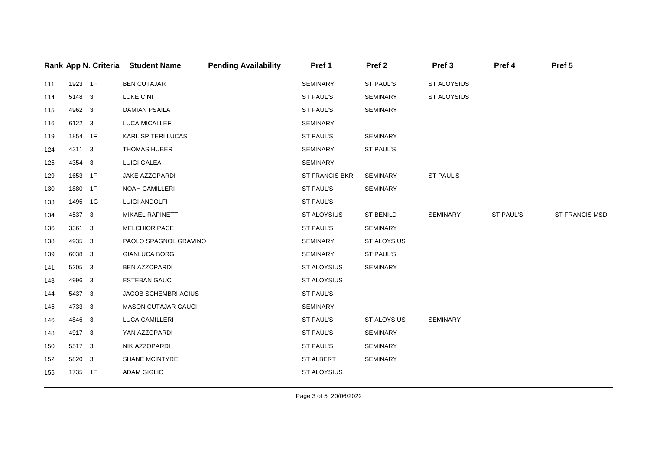|     |         | Rank App N. Criteria | <b>Student Name</b>        | <b>Pending Availability</b> | Pref 1             | Pref <sub>2</sub> | Pref <sub>3</sub> | Pref 4    | Pref 5         |
|-----|---------|----------------------|----------------------------|-----------------------------|--------------------|-------------------|-------------------|-----------|----------------|
| 111 | 1923 1F |                      | <b>BEN CUTAJAR</b>         |                             | SEMINARY           | <b>ST PAUL'S</b>  | ST ALOYSIUS       |           |                |
| 114 | 5148 3  |                      | <b>LUKE CINI</b>           |                             | ST PAUL'S          | <b>SEMINARY</b>   | ST ALOYSIUS       |           |                |
| 115 | 4962 3  |                      | <b>DAMIAN PSAILA</b>       |                             | ST PAUL'S          | SEMINARY          |                   |           |                |
| 116 | 6122 3  |                      | LUCA MICALLEF              |                             | <b>SEMINARY</b>    |                   |                   |           |                |
| 119 | 1854 1F |                      | KARL SPITERI LUCAS         |                             | ST PAUL'S          | <b>SEMINARY</b>   |                   |           |                |
| 124 | 4311 3  |                      | <b>THOMAS HUBER</b>        |                             | SEMINARY           | ST PAUL'S         |                   |           |                |
| 125 | 4354 3  |                      | <b>LUIGI GALEA</b>         |                             | SEMINARY           |                   |                   |           |                |
| 129 | 1653 1F |                      | JAKE AZZOPARDI             |                             | ST FRANCIS BKR     | SEMINARY          | ST PAUL'S         |           |                |
| 130 | 1880 1F |                      | <b>NOAH CAMILLERI</b>      |                             | ST PAUL'S          | <b>SEMINARY</b>   |                   |           |                |
| 133 | 1495 1G |                      | LUIGI ANDOLFI              |                             | ST PAUL'S          |                   |                   |           |                |
| 134 | 4537 3  |                      | MIKAEL RAPINETT            |                             | ST ALOYSIUS        | ST BENILD         | SEMINARY          | ST PAUL'S | ST FRANCIS MSD |
| 136 | 3361 3  |                      | <b>MELCHIOR PACE</b>       |                             | ST PAUL'S          | <b>SEMINARY</b>   |                   |           |                |
| 138 | 4935 3  |                      | PAOLO SPAGNOL GRAVINO      |                             | <b>SEMINARY</b>    | ST ALOYSIUS       |                   |           |                |
| 139 | 6038 3  |                      | <b>GIANLUCA BORG</b>       |                             | SEMINARY           | ST PAUL'S         |                   |           |                |
| 141 | 5205 3  |                      | <b>BEN AZZOPARDI</b>       |                             | ST ALOYSIUS        | <b>SEMINARY</b>   |                   |           |                |
| 143 | 4996 3  |                      | <b>ESTEBAN GAUCI</b>       |                             | ST ALOYSIUS        |                   |                   |           |                |
| 144 | 5437 3  |                      | JACOB SCHEMBRI AGIUS       |                             | ST PAUL'S          |                   |                   |           |                |
| 145 | 4733 3  |                      | <b>MASON CUTAJAR GAUCI</b> |                             | <b>SEMINARY</b>    |                   |                   |           |                |
| 146 | 4846 3  |                      | LUCA CAMILLERI             |                             | ST PAUL'S          | ST ALOYSIUS       | SEMINARY          |           |                |
| 148 | 4917 3  |                      | YAN AZZOPARDI              |                             | ST PAUL'S          | <b>SEMINARY</b>   |                   |           |                |
| 150 | 5517 3  |                      | NIK AZZOPARDI              |                             | ST PAUL'S          | <b>SEMINARY</b>   |                   |           |                |
| 152 | 5820 3  |                      | SHANE MCINTYRE             |                             | ST ALBERT          | SEMINARY          |                   |           |                |
| 155 | 1735 1F |                      | <b>ADAM GIGLIO</b>         |                             | <b>ST ALOYSIUS</b> |                   |                   |           |                |
|     |         |                      |                            |                             |                    |                   |                   |           |                |

Page 3 of 5 20/06/2022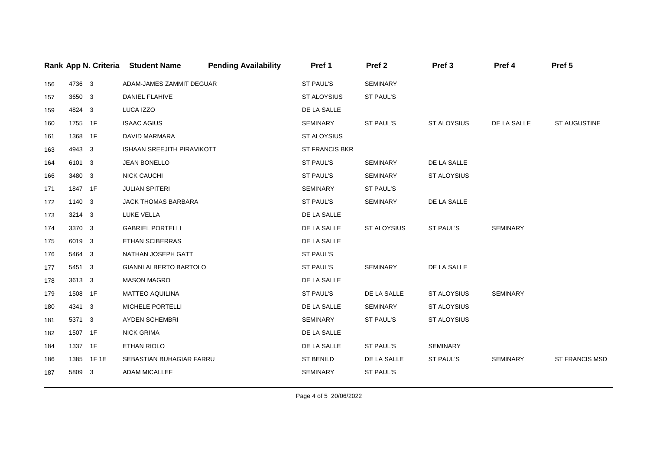|     |         |           | Rank App N. Criteria Student Name | <b>Pending Availability</b> | Pref 1             | Pref <sub>2</sub> | Pref <sub>3</sub>  | Pref 4          | Pref 5                |
|-----|---------|-----------|-----------------------------------|-----------------------------|--------------------|-------------------|--------------------|-----------------|-----------------------|
| 156 | 4736 3  |           | ADAM-JAMES ZAMMIT DEGUAR          |                             | ST PAUL'S          | <b>SEMINARY</b>   |                    |                 |                       |
| 157 | 3650 3  |           | DANIEL FLAHIVE                    |                             | <b>ST ALOYSIUS</b> | ST PAUL'S         |                    |                 |                       |
| 159 | 4824 3  |           | LUCA IZZO                         |                             | DE LA SALLE        |                   |                    |                 |                       |
| 160 | 1755 1F |           | <b>ISAAC AGIUS</b>                |                             | <b>SEMINARY</b>    | ST PAUL'S         | ST ALOYSIUS        | DE LA SALLE     | ST AUGUSTINE          |
| 161 | 1368 1F |           | DAVID MARMARA                     |                             | ST ALOYSIUS        |                   |                    |                 |                       |
| 163 | 4943 3  |           | ISHAAN SREEJITH PIRAVIKOTT        |                             | ST FRANCIS BKR     |                   |                    |                 |                       |
| 164 | 6101 3  |           | <b>JEAN BONELLO</b>               |                             | ST PAUL'S          | <b>SEMINARY</b>   | DE LA SALLE        |                 |                       |
| 166 | 3480 3  |           | <b>NICK CAUCHI</b>                |                             | ST PAUL'S          | <b>SEMINARY</b>   | <b>ST ALOYSIUS</b> |                 |                       |
| 171 | 1847 1F |           | <b>JULIAN SPITERI</b>             |                             | SEMINARY           | ST PAUL'S         |                    |                 |                       |
| 172 | 1140 3  |           | <b>JACK THOMAS BARBARA</b>        |                             | ST PAUL'S          | <b>SEMINARY</b>   | DE LA SALLE        |                 |                       |
| 173 | 3214 3  |           | LUKE VELLA                        |                             | DE LA SALLE        |                   |                    |                 |                       |
| 174 | 3370 3  |           | <b>GABRIEL PORTELLI</b>           |                             | DE LA SALLE        | ST ALOYSIUS       | ST PAUL'S          | <b>SEMINARY</b> |                       |
| 175 | 6019 3  |           | ETHAN SCIBERRAS                   |                             | DE LA SALLE        |                   |                    |                 |                       |
| 176 | 5464 3  |           | NATHAN JOSEPH GATT                |                             | ST PAUL'S          |                   |                    |                 |                       |
| 177 | 5451 3  |           | <b>GIANNI ALBERTO BARTOLO</b>     |                             | ST PAUL'S          | <b>SEMINARY</b>   | DE LA SALLE        |                 |                       |
| 178 | 3613 3  |           | <b>MASON MAGRO</b>                |                             | DE LA SALLE        |                   |                    |                 |                       |
| 179 | 1508 1F |           | <b>MATTEO AQUILINA</b>            |                             | <b>ST PAUL'S</b>   | DE LA SALLE       | <b>ST ALOYSIUS</b> | <b>SEMINARY</b> |                       |
| 180 | 4341 3  |           | MICHELE PORTELLI                  |                             | DE LA SALLE        | SEMINARY          | ST ALOYSIUS        |                 |                       |
| 181 | 5371 3  |           | AYDEN SCHEMBRI                    |                             | SEMINARY           | ST PAUL'S         | ST ALOYSIUS        |                 |                       |
| 182 | 1507 1F |           | <b>NICK GRIMA</b>                 |                             | DE LA SALLE        |                   |                    |                 |                       |
| 184 | 1337 1F |           | ETHAN RIOLO                       |                             | DE LA SALLE        | ST PAUL'S         | SEMINARY           |                 |                       |
| 186 |         | 1385 1F1E | SEBASTIAN BUHAGIAR FARRU          |                             | <b>ST BENILD</b>   | DE LA SALLE       | ST PAUL'S          | SEMINARY        | <b>ST FRANCIS MSD</b> |
| 187 | 5809 3  |           | <b>ADAM MICALLEF</b>              |                             | <b>SEMINARY</b>    | ST PAUL'S         |                    |                 |                       |
|     |         |           |                                   |                             |                    |                   |                    |                 |                       |